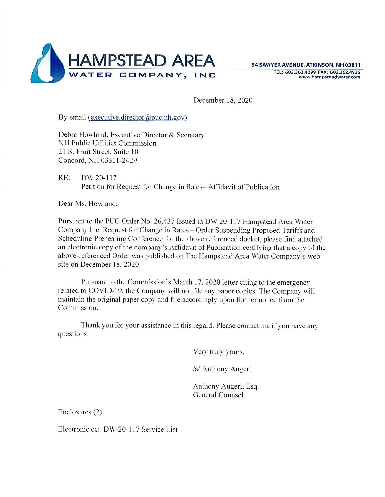

TEL: **603.362.4299 FAX: 603.362.4936 www.hampsteadwater.com** 

December 18, 2020

By email (executive.director@puc.nh.gov)

Debra Howland, Executive Director & Secretary NH Public Utilities Commission 21 S. Fruit Street, Suite 10 Concord, NH 03301-2429

RE: OW 20-117 Petition for Request for Change in Rates- Affidavit of Publication

Dear Ms. Howland:

Pursuant to the PUC Order No. 26,437 Issued in DW 20-117 Hampstead Area Water Company Inc. Request for Change in Rates - Order Suspending Proposed Tariffs and Scheduling Prehearing Conference for the above referenced docket, please find attached an electronic copy of the company's Affidavit of Publication certifying that a copy of the above-referenced Order was published on The Hampstead Area Water Company's web site on December 18, 2020.

Pursuant to the Commission's March 17. 2020 letter citing to the emergency related to COVID-19, the Company will not file any paper copies. The Company will maintain the original paper copy and file accordingly upon further notice from the Commission.

Thank you for your assistance in this regard. Please contact me if you have any q uestions.

Very truly yours,

/s/ Anthony Augeri

Anthony Augeri, Esq. General Counsel

Enclosures (2)

Electronic cc: DW-20-117 Service List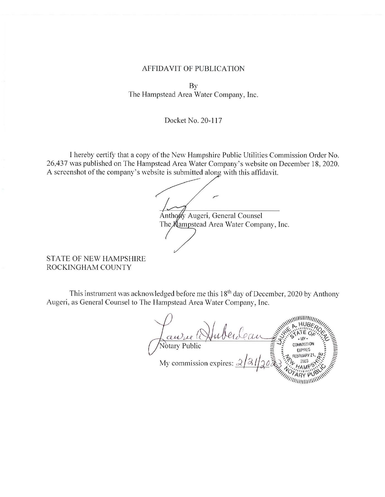## AFFIDAVIT OF PUBLICATION

By The Hampstead Area Water Company, Inc.

## Docket No. 20-117

I hereby certify that a copy of the New Hampshire Public Utilities Commission Order No. 26,437 was published on The Hampstead Area Water Company's website on December 18, 2020. A screenshot of the company's website is submitted along with this affidavit.

stead Area Water Company's<br>site is submitted along with this<br> Anthony Augeri, General Counsel The **K**ampstead Area Water Company, Inc.

STATE OF NEW HAMPSHIRE ROCKINGHAM COUNTY

This instrument was acknowledged before me this  $18<sup>th</sup>$  day of December, 2020 by Anthony Augeri, as General Counsel to The Hampstead Area Water Company, Inc.

Rausse (HuberLeau) **CALLES AND** COMMISSION **EXPIRES** //////////////